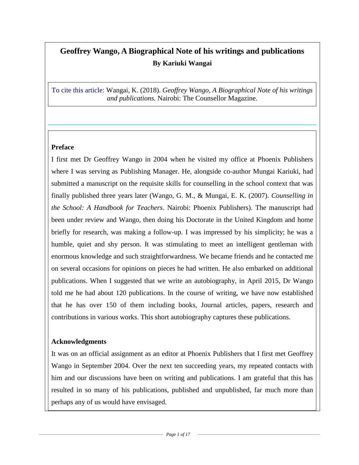# **Geoffrey Wango, A Biographical Note of his writings and publications By Kariuki Wangai**

To cite this article: Wangai, K. (2018). *Geoffrey Wango, A Biographical Note of his writings and publications.* Nairobi: The Counsellor Magazine.

#### **Preface**

I first met Dr Geoffrey Wango in 2004 when he visited my office at Phoenix Publishers where I was serving as Publishing Manager. He, alongside co-author Mungai Kariuki, had submitted a manuscript on the requisite skills for counselling in the school context that was finally published three years later (Wango, G. M., & Mungai, E. K. (2007). *Counselling in the School: A Handbook for Teachers*. Nairobi: Phoenix Publishers). The manuscript had been under review and Wango, then doing his Doctorate in the United Kingdom and home briefly for research, was making a follow-up. I was impressed by his simplicity; he was a humble, quiet and shy person. It was stimulating to meet an intelligent gentleman with enormous knowledge and such straightforwardness. We became friends and he contacted me on several occasions for opinions on pieces he had written. He also embarked on additional publications. When I suggested that we write an autobiography, in April 2015, Dr Wango told me he had about 120 publications. In the course of writing, we have now established that he has over 150 of them including books, Journal articles, papers, research and contributions in various works. This short autobiography captures these publications.

#### **Acknowledgments**

It was on an official assignment as an editor at Phoenix Publishers that I first met Geoffrey Wango in September 2004. Over the next ten succeeding years, my repeated contacts with him and our discussions have been on writing and publications. I am grateful that this has resulted in so many of his publications, published and unpublished, far much more than perhaps any of us would have envisaged.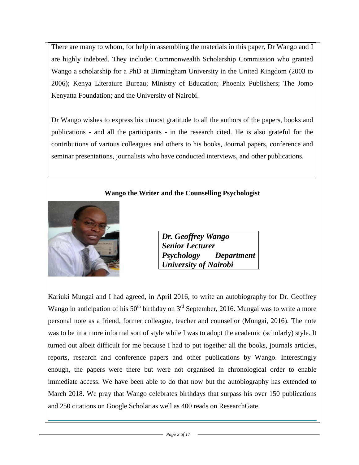There are many to whom, for help in assembling the materials in this paper, Dr Wango and I are highly indebted. They include: Commonwealth Scholarship Commission who granted Wango a scholarship for a PhD at Birmingham University in the United Kingdom (2003 to 2006); Kenya Literature Bureau; Ministry of Education; Phoenix Publishers; The Jomo Kenyatta Foundation; and the University of Nairobi.

Dr Wango wishes to express his utmost gratitude to all the authors of the papers, books and publications - and all the participants - in the research cited. He is also grateful for the contributions of various colleagues and others to his books, Journal papers, conference and seminar presentations, journalists who have conducted interviews, and other publications.

#### **Wango the Writer and the Counselling Psychologist**



| Dr. Geoffrey Wango     |            |
|------------------------|------------|
| <b>Senior Lecturer</b> |            |
| Psychology             | Department |
| University of Nairobi  |            |

Kariuki Mungai and I had agreed, in April 2016, to write an autobiography for Dr. Geoffrey Wango in anticipation of his  $50<sup>th</sup>$  birthday on 3<sup>rd</sup> September, 2016. Mungai was to write a more personal note as a friend, former colleague, teacher and counsellor (Mungai, 2016). The note was to be in a more informal sort of style while I was to adopt the academic (scholarly) style. It turned out albeit difficult for me because I had to put together all the books, journals articles, reports, research and conference papers and other publications by Wango. Interestingly enough, the papers were there but were not organised in chronological order to enable immediate access. We have been able to do that now but the autobiography has extended to March 2018. We pray that Wango celebrates birthdays that surpass his over 150 publications and 250 citations on Google Scholar as well as 400 reads on ResearchGate.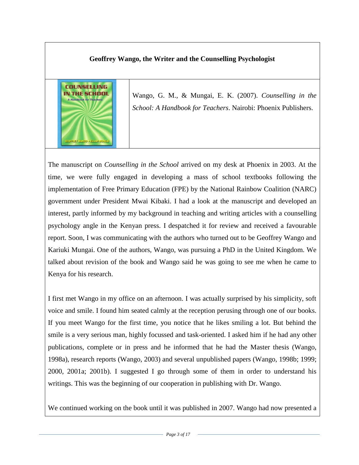### **Geoffrey Wango, the Writer and the Counselling Psychologist**



Wango, G. M., & Mungai, E. K. (2007). *Counselling in the School: A Handbook for Teachers*. Nairobi: Phoenix Publishers.

The manuscript on *Counselling in the School* arrived on my desk at Phoenix in 2003. At the time, we were fully engaged in developing a mass of school textbooks following the implementation of Free Primary Education (FPE) by the National Rainbow Coalition (NARC) government under President Mwai Kibaki. I had a look at the manuscript and developed an interest, partly informed by my background in teaching and writing articles with a counselling psychology angle in the Kenyan press. I despatched it for review and received a favourable report. Soon, I was communicating with the authors who turned out to be Geoffrey Wango and Kariuki Mungai. One of the authors, Wango, was pursuing a PhD in the United Kingdom. We talked about revision of the book and Wango said he was going to see me when he came to Kenya for his research.

I first met Wango in my office on an afternoon. I was actually surprised by his simplicity, soft voice and smile. I found him seated calmly at the reception perusing through one of our books. If you meet Wango for the first time, you notice that he likes smiling a lot. But behind the smile is a very serious man, highly focussed and task-oriented. I asked him if he had any other publications, complete or in press and he informed that he had the Master thesis (Wango, 1998a), research reports (Wango, 2003) and several unpublished papers (Wango, 1998b; 1999; 2000, 2001a; 2001b). I suggested I go through some of them in order to understand his writings. This was the beginning of our cooperation in publishing with Dr. Wango.

We continued working on the book until it was published in 2007. Wango had now presented a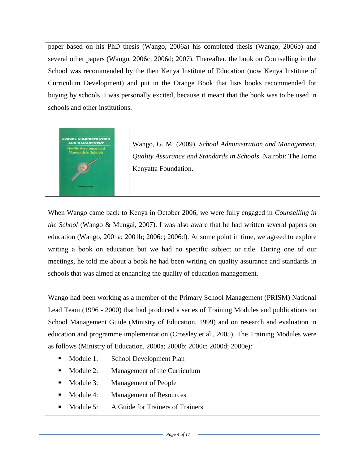paper based on his PhD thesis (Wango, 2006a) his completed thesis (Wango, 2006b) and several other papers (Wango, 2006c; 2006d; 2007). Thereafter, the book on Counselling in the School was recommended by the then Kenya Institute of Education (now Kenya Institute of Curriculum Development) and put in the Orange Book that lists books recommended for buying by schools. I was personally excited, because it meant that the book was to be used in schools and other institutions.



Wango, G. M. (2009). *School Administration and Management. Quality Assurance and Standards in Schools*. Nairobi: The Jomo Kenyatta Foundation.

When Wango came back to Kenya in October 2006, we were fully engaged in *Counselling in the School* (Wango & Mungai, 2007). I was also aware that he had written several papers on education (Wango, 2001a; 2001b; 2006c; 2006d). At some point in time, we agreed to explore writing a book on education but we had no specific subject or title. During one of our meetings, he told me about a book he had been writing on quality assurance and standards in schools that was aimed at enhancing the quality of education management.

Wango had been working as a member of the Primary School Management (PRISM) National Lead Team (1996 - 2000) that had produced a series of Training Modules and publications on School Management Guide (Ministry of Education, 1999) and on research and evaluation in education and programme implementation (Crossley et al., 2005). The Training Modules were as follows (Ministry of Education, 2000a; 2000b; 2000c; 2000d; 2000e):

- Module 1: School Development Plan
- Module 2: Management of the Curriculum
- Module 3: Management of People
- Module 4: Management of Resources
- Module 5: A Guide for Trainers of Trainers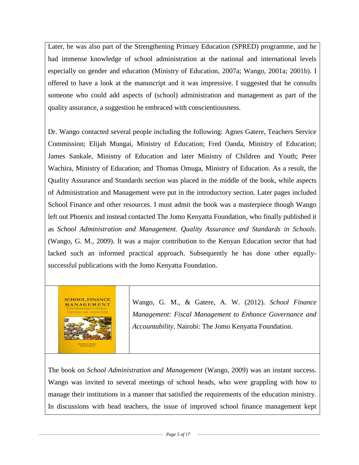Later, he was also part of the Strengthening Primary Education (SPRED) programme, and he had immense knowledge of school administration at the national and international levels especially on gender and education (Ministry of Education, 2007a; Wango, 2001a; 2001b). I offered to have a look at the manuscript and it was impressive. I suggested that he consults someone who could add aspects of (school) administration and management as part of the quality assurance, a suggestion he embraced with conscientiousness.

Dr. Wango contacted several people including the following: Agnes Gatere, Teachers Service Commission; Elijah Mungai, Ministry of Education; Fred Oanda, Ministry of Education; James Sankale, Ministry of Education and later Ministry of Children and Youth; Peter Wachira, Ministry of Education; and Thomas Omuga, Ministry of Education. As a result, the Quality Assurance and Standards section was placed in the middle of the book, while aspects of Administration and Management were put in the introductory section. Later pages included School Finance and other resources. I must admit the book was a masterpiece though Wango left out Phoenix and instead contacted The Jomo Kenyatta Foundation, who finally published it as *School Administration and Management. Quality Assurance and Standards in Schools*. (Wango, G. M., 2009). It was a major contribution to the Kenyan Education sector that had lacked such an informed practical approach. Subsequently he has done other equallysuccessful publications with the Jomo Kenyatta Foundation.



Wango, G. M., & Gatere, A. W. (2012). *School Finance Management: Fiscal Management to Enhance Governance and Accountability*. Nairobi: The Jomo Kenyatta Foundation.

The book on *School Administration and Management* (Wango, 2009) was an instant success. Wango was invited to several meetings of school heads, who were grappling with how to manage their institutions in a manner that satisfied the requirements of the education ministry. In discussions with head teachers, the issue of improved school finance management kept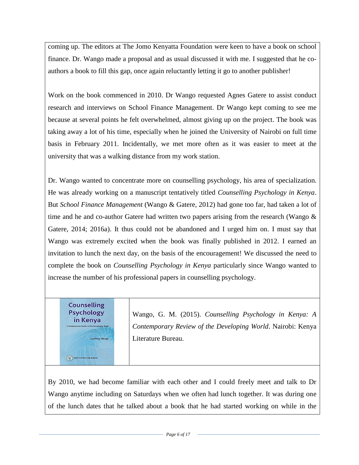coming up. The editors at The Jomo Kenyatta Foundation were keen to have a book on school finance. Dr. Wango made a proposal and as usual discussed it with me. I suggested that he coauthors a book to fill this gap, once again reluctantly letting it go to another publisher!

Work on the book commenced in 2010. Dr Wango requested Agnes Gatere to assist conduct research and interviews on School Finance Management. Dr Wango kept coming to see me because at several points he felt overwhelmed, almost giving up on the project. The book was taking away a lot of his time, especially when he joined the University of Nairobi on full time basis in February 2011. Incidentally, we met more often as it was easier to meet at the university that was a walking distance from my work station.

Dr. Wango wanted to concentrate more on counselling psychology, his area of specialization. He was already working on a manuscript tentatively titled *Counselling Psychology in Kenya*. But *School Finance Management* (Wango & Gatere, 2012) had gone too far, had taken a lot of time and he and co-author Gatere had written two papers arising from the research (Wango  $\&$ Gatere, 2014; 2016a). It thus could not be abandoned and I urged him on. I must say that Wango was extremely excited when the book was finally published in 2012. I earned an invitation to lunch the next day, on the basis of the encouragement! We discussed the need to complete the book on *Counselling Psychology in Kenya* particularly since Wango wanted to increase the number of his professional papers in counselling psychology.

**Counselling Psychology** in Kenya

**CO** KENYA LITER

Wango, G. M. (2015). *Counselling Psychology in Kenya: A Contemporary Review of the Developing World*. Nairobi: Kenya Literature Bureau.

By 2010, we had become familiar with each other and I could freely meet and talk to Dr Wango anytime including on Saturdays when we often had lunch together. It was during one of the lunch dates that he talked about a book that he had started working on while in the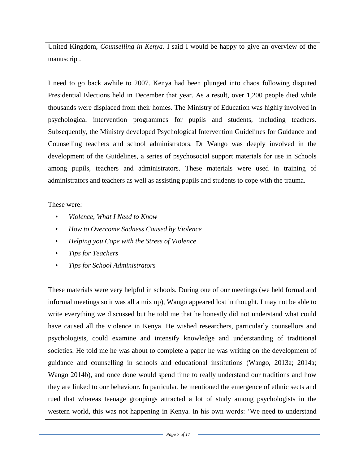United Kingdom, *Counselling in Kenya*. I said I would be happy to give an overview of the manuscript.

I need to go back awhile to 2007. Kenya had been plunged into chaos following disputed Presidential Elections held in December that year. As a result, over 1,200 people died while thousands were displaced from their homes. The Ministry of Education was highly involved in psychological intervention programmes for pupils and students, including teachers. Subsequently, the Ministry developed Psychological Intervention Guidelines for Guidance and Counselling teachers and school administrators. Dr Wango was deeply involved in the development of the Guidelines, a series of psychosocial support materials for use in Schools among pupils, teachers and administrators. These materials were used in training of administrators and teachers as well as assisting pupils and students to cope with the trauma.

#### These were:

- *Violence, What I Need to Know*
- *How to Overcome Sadness Caused by Violence*
- *Helping you Cope with the Stress of Violence*
- *Tips for Teachers*
- *Tips for School Administrators*

These materials were very helpful in schools. During one of our meetings (we held formal and informal meetings so it was all a mix up), Wango appeared lost in thought. I may not be able to write everything we discussed but he told me that he honestly did not understand what could have caused all the violence in Kenya. He wished researchers, particularly counsellors and psychologists, could examine and intensify knowledge and understanding of traditional societies. He told me he was about to complete a paper he was writing on the development of guidance and counselling in schools and educational institutions (Wango, 2013a; 2014a; Wango 2014b), and once done would spend time to really understand our traditions and how they are linked to our behaviour. In particular, he mentioned the emergence of ethnic sects and rued that whereas teenage groupings attracted a lot of study among psychologists in the western world, this was not happening in Kenya. In his own words: 'We need to understand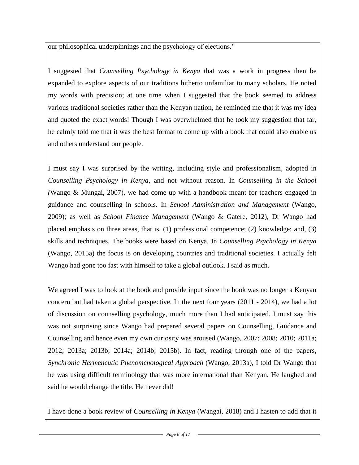our philosophical underpinnings and the psychology of elections.'

I suggested that *Counselling Psychology in Kenya* that was a work in progress then be expanded to explore aspects of our traditions hitherto unfamiliar to many scholars. He noted my words with precision; at one time when I suggested that the book seemed to address various traditional societies rather than the Kenyan nation, he reminded me that it was my idea and quoted the exact words! Though I was overwhelmed that he took my suggestion that far, he calmly told me that it was the best format to come up with a book that could also enable us and others understand our people.

I must say I was surprised by the writing, including style and professionalism, adopted in *Counselling Psychology in Kenya*, and not without reason. In *Counselling in the School (*Wango & Mungai, 2007), we had come up with a handbook meant for teachers engaged in guidance and counselling in schools. In *School Administration and Management* (Wango, 2009); as well as *School Finance Management* (Wango & Gatere, 2012), Dr Wango had placed emphasis on three areas, that is, (1) professional competence; (2) knowledge; and, (3) skills and techniques. The books were based on Kenya. In *Counselling Psychology in Kenya* (Wango, 2015a) the focus is on developing countries and traditional societies. I actually felt Wango had gone too fast with himself to take a global outlook. I said as much.

We agreed I was to look at the book and provide input since the book was no longer a Kenyan concern but had taken a global perspective. In the next four years (2011 - 2014), we had a lot of discussion on counselling psychology, much more than I had anticipated. I must say this was not surprising since Wango had prepared several papers on Counselling, Guidance and Counselling and hence even my own curiosity was aroused (Wango, 2007; 2008; 2010; 2011a; 2012; 2013a; 2013b; 2014a; 2014b; 2015b). In fact, reading through one of the papers, *Synchronic Hermeneutic Phenomenological Approach* (Wango, 2013a), I told Dr Wango that he was using difficult terminology that was more international than Kenyan. He laughed and said he would change the title. He never did!

I have done a book review of *Counselling in Kenya* (Wangai, 2018) and I hasten to add that it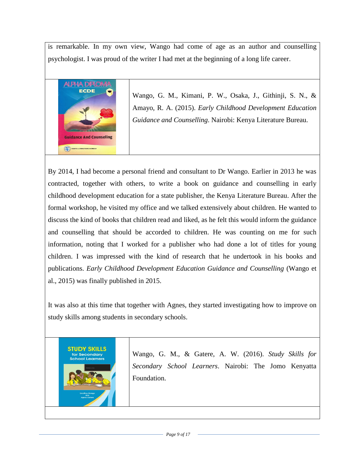is remarkable. In my own view, Wango had come of age as an author and counselling psychologist. I was proud of the writer I had met at the beginning of a long life career.



Wango, G. M., Kimani, P. W., Osaka, J., Githinji, S. N., & Amayo, R. A. (2015). *Early Childhood Development Education Guidance and Counselling*. Nairobi: Kenya Literature Bureau.

By 2014, I had become a personal friend and consultant to Dr Wango. Earlier in 2013 he was contracted, together with others, to write a book on guidance and counselling in early childhood development education for a state publisher, the Kenya Literature Bureau. After the formal workshop, he visited my office and we talked extensively about children. He wanted to discuss the kind of books that children read and liked, as he felt this would inform the guidance and counselling that should be accorded to children. He was counting on me for such information, noting that I worked for a publisher who had done a lot of titles for young children. I was impressed with the kind of research that he undertook in his books and publications. *Early Childhood Development Education Guidance and Counselling* (Wango et al., 2015) was finally published in 2015.

It was also at this time that together with Agnes, they started investigating how to improve on study skills among students in secondary schools.

**STUDY SKILLS** for Secondary Learners

Wango, G. M., & Gatere, A. W. (2016). *Study Skills for Secondary School Learners*. Nairobi: The Jomo Kenyatta Foundation.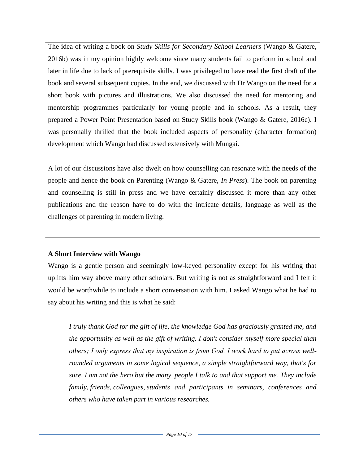The idea of writing a book on *Study Skills for Secondary School Learners* (Wango & Gatere, 2016b) was in my opinion highly welcome since many students fail to perform in school and later in life due to lack of prerequisite skills. I was privileged to have read the first draft of the book and several subsequent copies. In the end, we discussed with Dr Wango on the need for a short book with pictures and illustrations. We also discussed the need for mentoring and mentorship programmes particularly for young people and in schools. As a result, they prepared a Power Point Presentation based on Study Skills book (Wango & Gatere, 2016c). I was personally thrilled that the book included aspects of personality (character formation) development which Wango had discussed extensively with Mungai.

A lot of our discussions have also dwelt on how counselling can resonate with the needs of the people and hence the book on Parenting (Wango & Gatere, *In Press*). The book on parenting and counselling is still in press and we have certainly discussed it more than any other publications and the reason have to do with the intricate details, language as well as the challenges of parenting in modern living.

## **A Short Interview with Wango**

Wango is a gentle person and seemingly low-keyed personality except for his writing that uplifts him way above many other scholars. But writing is not as straightforward and I felt it would be worthwhile to include a short conversation with him. I asked Wango what he had to say about his writing and this is what he said:

*I truly thank God for the gift of life, the knowledge God has graciously granted me, and the opportunity as well as the gift of writing. I don't consider myself more special than others; I only express that my inspiration is from God. I work hard to put across weĺlrounded arguments in some logical sequence, a simple straightforward way, that's for sure. I am not the hero but the many people I talk to and that support me. They include family, friends, colleagues, students and participants in seminars, conferences and others who have taken part in various researches.*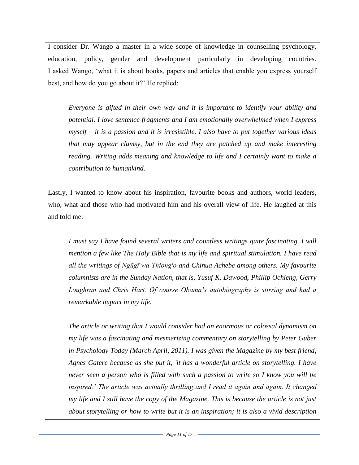I consider Dr. Wango a master in a wide scope of knowledge in counselling psychology, education, policy, gender and development particularly in developing countries. I asked Wango, 'what it is about books, papers and articles that enable you express yourself best, and how do you go about it?' He replied:

*Everyone is gifted in their own way and it is important to identify your ability and potential. I love sentence fragments and I am emotionally overwhelmed when I express myself – it is a passion and it is irresistible. I also have to put together various ideas that may appear clumsy, but in the end they are patched up and make interesting reading. Writing adds meaning and knowledge to life and I certainly want to make a contribution to humankind.*

Lastly, I wanted to know about his inspiration, favourite books and authors, world leaders, who, what and those who had motivated him and his overall view of life. He laughed at this and told me:

*I must say I have found several writers and countless writings quite fascinating. I will mention a few like The Holy Bible that is my life and spiritual stimulation. I have read all the writings of Ngũgĩ wa Thiong'o and Chinua Achebe among others. My favourite columnists are in the Sunday Nation, that is, Yusuf K. Dawood, Phillip Ochieng, Gerry Loughran and Chris Hart. Of course Obama's autobiography is stirring and had a remarkable impact in my life.* 

*The article or writing that I would consider had an enormous or colossal dynamism on my life was a fascinating and mesmerizing commentary on storytelling by Peter Guber in Psychology Today (March April, 2011). I was given the Magazine by my best friend, Agnes Gatere because as she put it, 'it has a wonderful article on storytelling. I have never seen a person who is filled with such a passion to write so I know you will be inspired.' The article was actually thrilling and I read it again and again. It changed my life and I still have the copy of the Magazine. This is because the article is not just about storytelling or how to write but it is an inspiration; it is also a vivid description*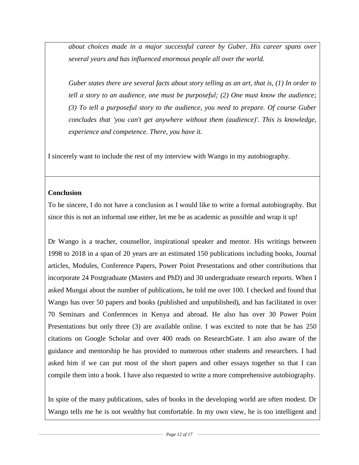*about choices made in a major successful career by Guber. His career spans over several years and has influenced enormous people all over the world.*

*Guber states there are several facts about story telling as an art, that is, (1) In order to tell a story to an audience, one must be purposeful; (2) One must know the audience; (3) To tell a purposeful story to the audience, you need to prepare. Of course Guber concludes that 'you can't get anywhere without them (audience)'. This is knowledge, experience and competence. There, you have it.* 

I sincerely want to include the rest of my interview with Wango in my autobiography.

#### **Conclusion**

To be sincere, I do not have a conclusion as I would like to write a formal autobiography. But since this is not an informal one either, let me be as academic as possible and wrap it up!

Dr Wango is a teacher, counsellor, inspirational speaker and mentor. His writings between 1998 to 2018 in a span of 20 years are an estimated 150 publications including books, Journal articles, Modules, Conference Papers, Power Point Presentations and other contributions that incorporate 24 Postgraduate (Masters and PhD) and 30 undergraduate research reports. When I asked Mungai about the number of publications, he told me over 100. I checked and found that Wango has over 50 papers and books (published and unpublished), and has facilitated in over 70 Seminars and Conferences in Kenya and abroad. He also has over 30 Power Point Presentations but only three (3) are available online. I was excited to note that he has 250 citations on Google Scholar and over 400 reads on ResearchGate. I am also aware of the guidance and mentorship he has provided to numerous other students and researchers. I had asked him if we can put most of the short papers and other essays together so that I can compile them into a book. I have also requested to write a more comprehensive autobiography.

In spite of the many publications, sales of books in the developing world are often modest. Dr Wango tells me he is not wealthy but comfortable. In my own view, he is too intelligent and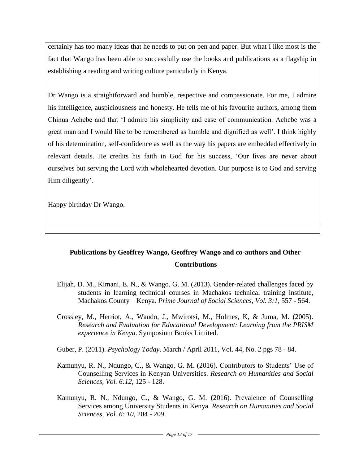certainly has too many ideas that he needs to put on pen and paper. But what I like most is the fact that Wango has been able to successfully use the books and publications as a flagship in establishing a reading and writing culture particularly in Kenya.

Dr Wango is a straightforward and humble, respective and compassionate. For me, I admire his intelligence, auspiciousness and honesty. He tells me of his favourite authors, among them Chinua Achebe and that 'I admire his simplicity and ease of communication. Achebe was a great man and I would like to be remembered as humble and dignified as well'. I think highly of his determination, self-confidence as well as the way his papers are embedded effectively in relevant details. He credits his faith in God for his success, 'Our lives are never about ourselves but serving the Lord with wholehearted devotion. Our purpose is to God and serving Him diligently'.

Happy birthday Dr Wango.

# **Publications by Geoffrey Wango, Geoffrey Wango and co-authors and Other Contributions**

- Elijah, D. M., Kimani, E. N., & Wango, G. M. (2013). Gender-related challenges faced by students in learning technical courses in Machakos technical training institute, Machakos County – Kenya. *Prime Journal of Social Sciences, Vol. 3:1,* 557 - 564.
- Crossley, M., Herriot, A., Waudo, J., Mwirotsi, M., Holmes, K, & Juma, M. (2005). *Research and Evaluation for Educational Development: Learning from the PRISM experience in Kenya*. Symposium Books Limited.
- Guber, P. (2011). *Psychology Today*. March / April 2011, Vol. 44, No. 2 pgs 78 84.
- Kamunyu, R. N., Ndungo, C., & Wango, G. M. (2016). Contributors to Students' Use of Counselling Services in Kenyan Universities. *Research on Humanities and Social Sciences, Vol. 6:12*, 125 - 128.
- Kamunyu, R. N., Ndungo, C., & Wango, G. M. (2016). Prevalence of Counselling Services among University Students in Kenya. *Research on Humanities and Social Sciences, Vol. 6: 10*, 204 - 209.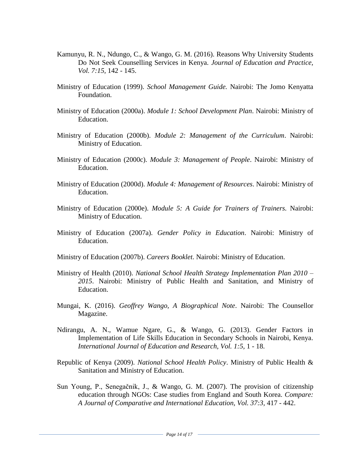- Kamunyu, R. N., Ndungo, C., & Wango, G. M. (2016). Reasons Why University Students Do Not Seek Counselling Services in Kenya. *Journal of Education and Practice, Vol. 7:15,* 142 - 145.
- Ministry of Education (1999). *School Management Guide.* Nairobi: The Jomo Kenyatta Foundation.
- Ministry of Education (2000a). *Module 1: School Development Plan*. Nairobi: Ministry of Education.
- Ministry of Education (2000b). *Module 2: Management of the Curriculum*. Nairobi: Ministry of Education.
- Ministry of Education (2000c). *Module 3: Management of People*. Nairobi: Ministry of Education.
- Ministry of Education (2000d). *Module 4: Management of Resources*. Nairobi: Ministry of Education.
- Ministry of Education (2000e). *Module 5: A Guide for Trainers of Trainers.* Nairobi: Ministry of Education.
- Ministry of Education (2007a). *Gender Policy in Education*. Nairobi: Ministry of Education.
- Ministry of Education (2007b). *Careers Booklet*. Nairobi: Ministry of Education.
- Ministry of Health (2010). *National School Health Strategy Implementation Plan 2010 – 2015*. Nairobi: Ministry of Public Health and Sanitation, and Ministry of Education.
- Mungai, K. (2016). *Geoffrey Wango, A Biographical Note*. Nairobi: The Counsellor Magazine.
- Ndirangu, A. N., Wamue Ngare, G., & Wango, G. (2013). Gender Factors in Implementation of Life Skills Education in Secondary Schools in Nairobi, Kenya. *International Journal of Education and Research, Vol. 1:5,* 1 - 18.
- Republic of Kenya (2009). *National School Health Policy*. Ministry of Public Health & Sanitation and Ministry of Education.
- Sun Young, P., Senegačnik, J., & Wango, G. M. (2007). The provision of citizenship education through NGOs: Case studies from England and South Korea. *Compare: A Journal of Comparative and International Education, Vol. 37:3,* 417 - 442.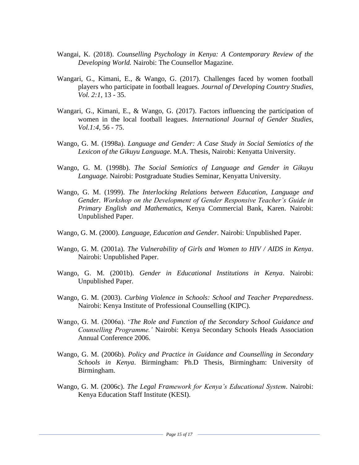- Wangai, K. (2018). *Counselling Psychology in Kenya: A Contemporary Review of the Developing World.* Nairobi: The Counsellor Magazine.
- Wangari, G., Kimani, E., & Wango, G. (2017). Challenges faced by women football players who participate in football leagues. *Journal of Developing Country Studies, Vol. 2:1,* 13 - 35.
- Wangari, G., Kimani, E., & Wango, G. (2017). Factors influencing the participation of women in the local football leagues. *International Journal of Gender Studies, Vol.1:4,* 56 - 75.
- Wango, G. M. (1998a). *Language and Gender: A Case Study in Social Semiotics of the Lexicon of the Gikuyu Language*. M.A. Thesis, Nairobi: Kenyatta University.
- Wango, G. M. (1998b). *The Social Semiotics of Language and Gender in Gikuyu Language.* Nairobi: Postgraduate Studies Seminar, Kenyatta University.
- Wango, G. M. (1999). *The Interlocking Relations between Education, Language and Gender. Workshop on the Development of Gender Responsive Teacher's Guide in Primary English and Mathematics*, Kenya Commercial Bank, Karen. Nairobi: Unpublished Paper.
- Wango, G. M. (2000). *Language, Education and Gender*. Nairobi: Unpublished Paper.
- Wango, G. M. (2001a). *The Vulnerability of Girls and Women to HIV / AIDS in Kenya*. Nairobi: Unpublished Paper.
- Wango, G. M. (2001b). *Gender in Educational Institutions in Kenya*. Nairobi: Unpublished Paper.
- Wango, G. M. (2003). *Curbing Violence in Schools: School and Teacher Preparedness*. Nairobi: Kenya Institute of Professional Counselling (KIPC).
- Wango, G. M. (2006a). '*The Role and Function of the Secondary School Guidance and Counselling Programme.'* Nairobi: Kenya Secondary Schools Heads Association Annual Conference 2006.
- Wango, G. M. (2006b). *Policy and Practice in Guidance and Counselling in Secondary Schools in Kenya*. Birmingham: Ph.D Thesis, Birmingham: University of Birmingham.
- Wango, G. M. (2006c). *The Legal Framework for Kenya's Educational System*. Nairobi: Kenya Education Staff Institute (KESI).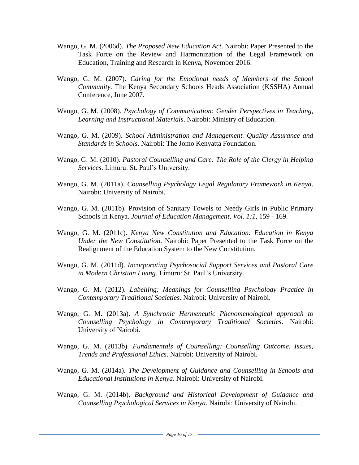- Wango, G. M. (2006d). *The Proposed New Education Act*. Nairobi: Paper Presented to the Task Force on the Review and Harmonization of the Legal Framework on Education, Training and Research in Kenya, November 2016.
- Wango, G. M. (2007). *Caring for the Emotional needs of Members of the School Community.* The Kenya Secondary Schools Heads Association (KSSHA) Annual Conference, June 2007.
- Wango, G. M. (2008). *Psychology of Communication: Gender Perspectives in Teaching, Learning and Instructional Materials*. Nairobi: Ministry of Education.
- Wango, G. M. (2009). *School Administration and Management. Quality Assurance and Standards in Schools*. Nairobi: The Jomo Kenyatta Foundation.
- Wango, G. M. (2010). *Pastoral Counselling and Care: The Role of the Clergy in Helping Services*. Limuru: St. Paul's University.
- Wango, G. M. (2011a). *Counselling Psychology Legal Regulatory Framework in Kenya*. Nairobi: University of Nairobi.
- Wango, G. M. (2011b). Provision of Sanitary Towels to Needy Girls in Public Primary Schools in Kenya. *Journal of Education Management, Vol. 1:1,* 159 - 169.
- Wango, G. M. (2011c). *Kenya New Constitution and Education: Education in Kenya Under the New Constitution*. Nairobi: Paper Presented to the Task Force on the Realignment of the Education System to the New Constitution.
- Wango, G. M. (2011d). *Incorporating Psychosocial Support Services and Pastoral Care in Modern Christian Living*. Limuru: St. Paul's University.
- Wango, G. M. (2012). *Labelling: Meanings for Counselling Psychology Practice in Contemporary Traditional Societies*. Nairobi: University of Nairobi.
- Wango, G. M. (2013a). *A Synchronic Hermeneutic Phenomenological approach to Counselling Psychology in Contemporary Traditional Societies*. Nairobi: University of Nairobi.
- Wango, G. M. (2013b). *Fundamentals of Counselling: Counselling Outcome, Issues, Trends and Professional Ethics*. Nairobi: University of Nairobi.
- Wango, G. M. (2014a). *The Development of Guidance and Counselling in Schools and Educational Institutions in Kenya*. Nairobi: University of Nairobi.
- Wango, G. M. (2014b). *Background and Historical Development of Guidance and Counselling Psychological Services in Kenya*. Nairobi: University of Nairobi.